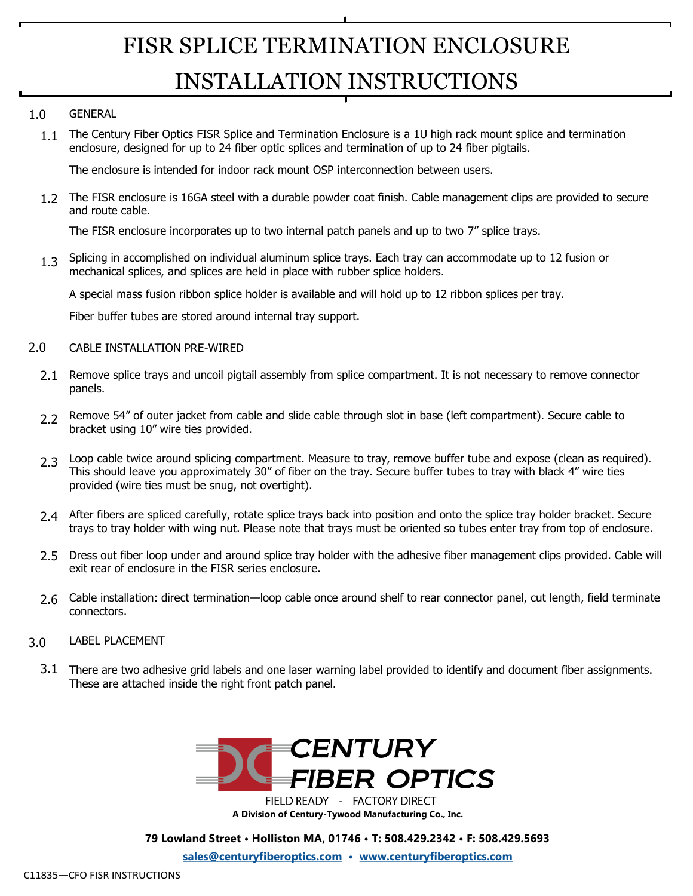## FISR SPLICE TERMINATION ENCLOSURE INSTALLATION INSTRUCTIONS

#### GENERAL 1.0

1.1 The Century Fiber Optics FISR Splice and Termination Enclosure is a 1U high rack mount splice and termination enclosure, designed for up to 24 fiber optic splices and termination of up to 24 fiber pigtails.

The enclosure is intended for indoor rack mount OSP interconnection between users.

1.2 The FISR enclosure is 16GA steel with a durable powder coat finish. Cable management clips are provided to secure and route cable.

The FISR enclosure incorporates up to two internal patch panels and up to two 7" splice trays.

Splicing in accomplished on individual aluminum splice trays. Each tray can accommodate up to 12 fusion or mechanical splices, and splices are held in place with rubber splice holders. 1.3

A special mass fusion ribbon splice holder is available and will hold up to 12 ribbon splices per tray.

Fiber buffer tubes are stored around internal tray support.

#### CABLE INSTALLATION PRE-WIRED 2.0

- 2.1 Remove splice trays and uncoil pigtail assembly from splice compartment. It is not necessary to remove connector panels.
- 2.2 Remove 54" of outer jacket from cable and slide cable through slot in base (left compartment). Secure cable to bracket using 10" wire ties provided.
- 2.3 Loop cable twice around splicing compartment. Measure to tray, remove buffer tube and expose (clean as required). This should leave you approximately 30" of fiber on the tray. Secure buffer tubes to tray with black 4" wire ties provided (wire ties must be snug, not overtight).
- After fibers are spliced carefully, rotate splice trays back into position and onto the splice tray holder bracket. Secure 2.4 trays to tray holder with wing nut. Please note that trays must be oriented so tubes enter tray from top of enclosure.
- 2.5 Dress out fiber loop under and around splice tray holder with the adhesive fiber management clips provided. Cable will exit rear of enclosure in the FISR series enclosure.
- Cable installation: direct termination—loop cable once around shelf to rear connector panel, cut length, field terminate 2.6 connectors.
- LABEL PLACEMENT 3.0
- 3.1 There are two adhesive grid labels and one laser warning label provided to identify and document fiber assignments. These are attached inside the right front patch panel.



FIELD READY - FACTORY DIRECT **A Division of Century-Tywood Manufacturing Co., Inc.**

**79 Lowland Street • Holliston MA, 01746 • T: 508.429.2342 • F: 508.429.5693**

**[sales@centuryfiberoptics.com](mailto:sales@centuryfiberoptics.com) • [www.centuryfiberoptics.com](http://www.centuryfiberoptics.com)**